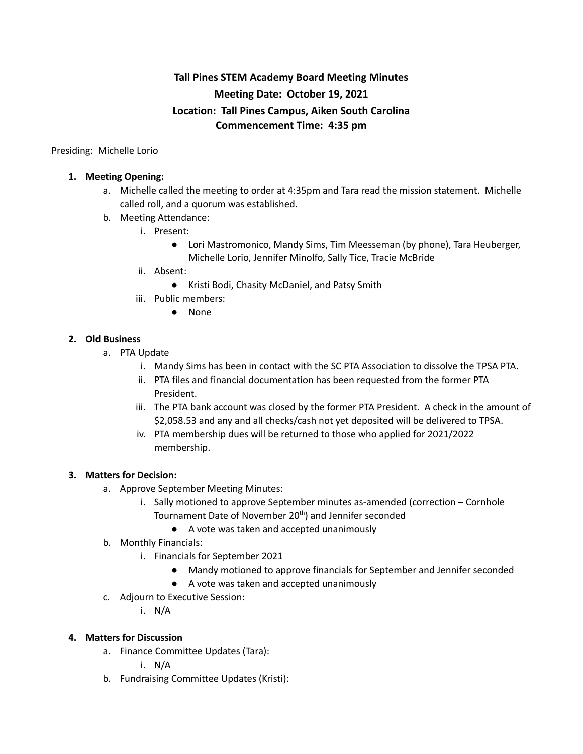# **Tall Pines STEM Academy Board Meeting Minutes Meeting Date: October 19, 2021 Location: Tall Pines Campus, Aiken South Carolina Commencement Time: 4:35 pm**

Presiding: Michelle Lorio

## **1. Meeting Opening:**

- a. Michelle called the meeting to order at 4:35pm and Tara read the mission statement. Michelle called roll, and a quorum was established.
- b. Meeting Attendance:
	- i. Present:
		- Lori Mastromonico, Mandy Sims, Tim Meesseman (by phone), Tara Heuberger, Michelle Lorio, Jennifer Minolfo, Sally Tice, Tracie McBride
	- ii. Absent:
		- Kristi Bodi, Chasity McDaniel, and Patsy Smith
	- iii. Public members:
		- None

### **2. Old Business**

- a. PTA Update
	- i. Mandy Sims has been in contact with the SC PTA Association to dissolve the TPSA PTA.
	- ii. PTA files and financial documentation has been requested from the former PTA President.
	- iii. The PTA bank account was closed by the former PTA President. A check in the amount of \$2,058.53 and any and all checks/cash not yet deposited will be delivered to TPSA.
	- iv. PTA membership dues will be returned to those who applied for 2021/2022 membership.

#### **3. Matters for Decision:**

- a. Approve September Meeting Minutes:
	- i. Sally motioned to approve September minutes as-amended (correction Cornhole Tournament Date of November 20<sup>th</sup>) and Jennifer seconded
		- A vote was taken and accepted unanimously
- b. Monthly Financials:
	- i. Financials for September 2021
		- Mandy motioned to approve financials for September and Jennifer seconded
		- A vote was taken and accepted unanimously
- c. Adjourn to Executive Session:
	- i. N/A

## **4. Matters for Discussion**

- a. Finance Committee Updates (Tara):
	- i. N/A
- b. Fundraising Committee Updates (Kristi):